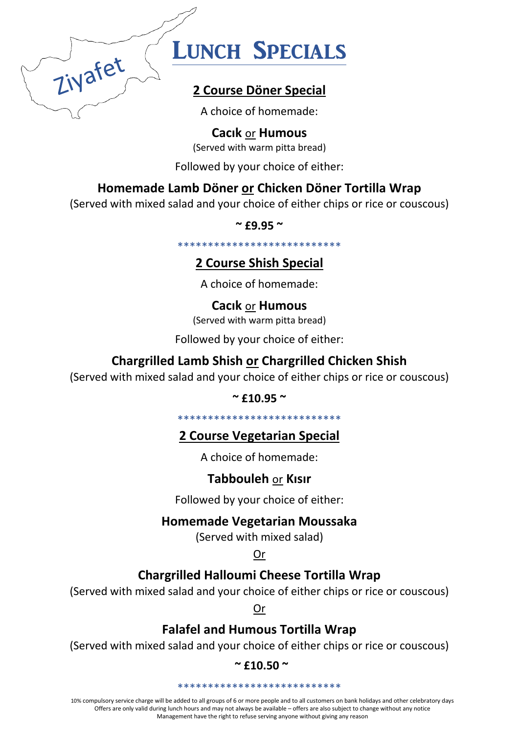

# **LUNCH SPECIALS**

# 2 Course Döner Special

A choice of homemade:

**Cacik or Humous** 

(Served with warm pitta bread)

Followed by your choice of either:

# Homemade Lamb Döner or Chicken Döner Tortilla Wrap

(Served with mixed salad and your choice of either chips or rice or couscous)

 $~^{\circ}$  £9.95  $~^{\circ}$ 

\*\*\*\*\*\*\*\*\*\*\*\*\*\*\*\*\*\*\*\*\*\*\*\*\*\*\*

# **2 Course Shish Special**

A choice of homemade:

**Cacik or Humous** 

(Served with warm pitta bread)

Followed by your choice of either:

# **Chargrilled Lamb Shish or Chargrilled Chicken Shish**

(Served with mixed salad and your choice of either chips or rice or couscous)

 $~^{\circ}$  £10.95  $~^{\circ}$ 

\*\*\*\*\*\*\*\*\*\*\*\*\*\*\*\*\*\*\*\*\*\*\*\*\*\*\*\*

## **2 Course Vegetarian Special**

A choice of homemade:

# **Tabbouleh or Kisir**

Followed by your choice of either:

## **Homemade Vegetarian Moussaka**

(Served with mixed salad)

Or

# **Chargrilled Halloumi Cheese Tortilla Wrap**

(Served with mixed salad and your choice of either chips or rice or couscous)

Or

## **Falafel and Humous Tortilla Wrap**

(Served with mixed salad and your choice of either chips or rice or couscous)

 $~^{\circ}$  £10.50  $~^{\circ}$ 

\*\*\*\*\*\*\*\*\*\*\*\*\*\*\*\*\*\*\*\*\*\*\*\*\*\*\*

10% compulsory service charge will be added to all groups of 6 or more people and to all customers on bank holidays and other celebratory days Offers are only valid during lunch hours and may not always be available - offers are also subject to change without any notice Management have the right to refuse serving anyone without giving any reason